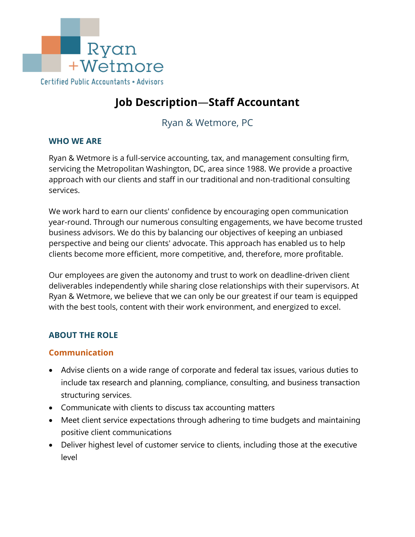

# **Job Description**—**Staff Accountant**

# Ryan & Wetmore, PC

#### **WHO WE ARE**

Ryan & Wetmore is a full-service accounting, tax, and management consulting firm, servicing the Metropolitan Washington, DC, area since 1988. We provide a proactive approach with our clients and staff in our traditional and non-traditional consulting services.

We work hard to earn our clients' confidence by encouraging open communication year-round. Through our numerous consulting engagements, we have become trusted business advisors. We do this by balancing our objectives of keeping an unbiased perspective and being our clients' advocate. This approach has enabled us to help clients become more efficient, more competitive, and, therefore, more profitable.

Our employees are given the autonomy and trust to work on deadline-driven client deliverables independently while sharing close relationships with their supervisors. At Ryan & Wetmore, we believe that we can only be our greatest if our team is equipped with the best tools, content with their work environment, and energized to excel.

#### **ABOUT THE ROLE**

#### **Communication**

- Advise clients on a wide range of corporate and federal tax issues, various duties to include tax research and planning, compliance, consulting, and business transaction structuring services.
- Communicate with clients to discuss tax accounting matters
- Meet client service expectations through adhering to time budgets and maintaining positive client communications
- Deliver highest level of customer service to clients, including those at the executive level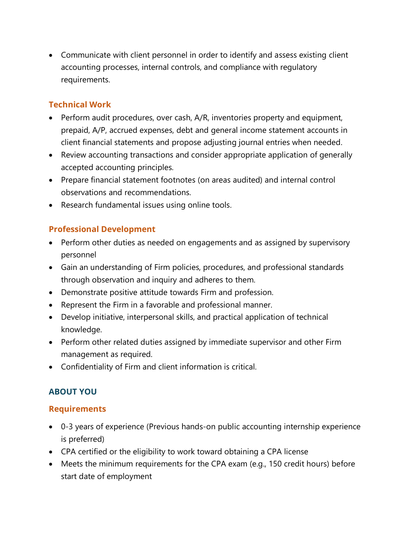• Communicate with client personnel in order to identify and assess existing client accounting processes, internal controls, and compliance with regulatory requirements.

#### **Technical Work**

- Perform audit procedures, over cash, A/R, inventories property and equipment, prepaid, A/P, accrued expenses, debt and general income statement accounts in client financial statements and propose adjusting journal entries when needed.
- Review accounting transactions and consider appropriate application of generally accepted accounting principles.
- Prepare financial statement footnotes (on areas audited) and internal control observations and recommendations.
- Research fundamental issues using online tools.

### **Professional Development**

- Perform other duties as needed on engagements and as assigned by supervisory personnel
- Gain an understanding of Firm policies, procedures, and professional standards through observation and inquiry and adheres to them.
- Demonstrate positive attitude towards Firm and profession.
- Represent the Firm in a favorable and professional manner.
- Develop initiative, interpersonal skills, and practical application of technical knowledge.
- Perform other related duties assigned by immediate supervisor and other Firm management as required.
- Confidentiality of Firm and client information is critical.

#### **ABOUT YOU**

#### **Requirements**

- 0-3 years of experience (Previous hands-on public accounting internship experience is preferred)
- CPA certified or the eligibility to work toward obtaining a CPA license
- Meets the minimum requirements for the CPA exam (e.g., 150 credit hours) before start date of employment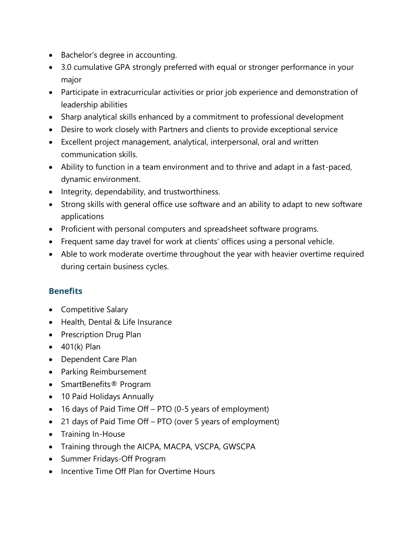- Bachelor's degree in accounting.
- 3.0 cumulative GPA strongly preferred with equal or stronger performance in your major
- Participate in extracurricular activities or prior job experience and demonstration of leadership abilities
- Sharp analytical skills enhanced by a commitment to professional development
- Desire to work closely with Partners and clients to provide exceptional service
- Excellent project management, analytical, interpersonal, oral and written communication skills.
- Ability to function in a team environment and to thrive and adapt in a fast-paced, dynamic environment.
- Integrity, dependability, and trustworthiness.
- Strong skills with general office use software and an ability to adapt to new software applications
- Proficient with personal computers and spreadsheet software programs.
- Frequent same day travel for work at clients' offices using a personal vehicle.
- Able to work moderate overtime throughout the year with heavier overtime required during certain business cycles.

## **Benefits**

- Competitive Salary
- Health, Dental & Life Insurance
- Prescription Drug Plan
- $\bullet$  401(k) Plan
- Dependent Care Plan
- Parking Reimbursement
- SmartBenefits® Program
- 10 Paid Holidays Annually
- 16 days of Paid Time Off PTO (0-5 years of employment)
- 21 days of Paid Time Off PTO (over 5 years of employment)
- Training In-House
- Training through the AICPA, MACPA, VSCPA, GWSCPA
- Summer Fridays-Off Program
- Incentive Time Off Plan for Overtime Hours